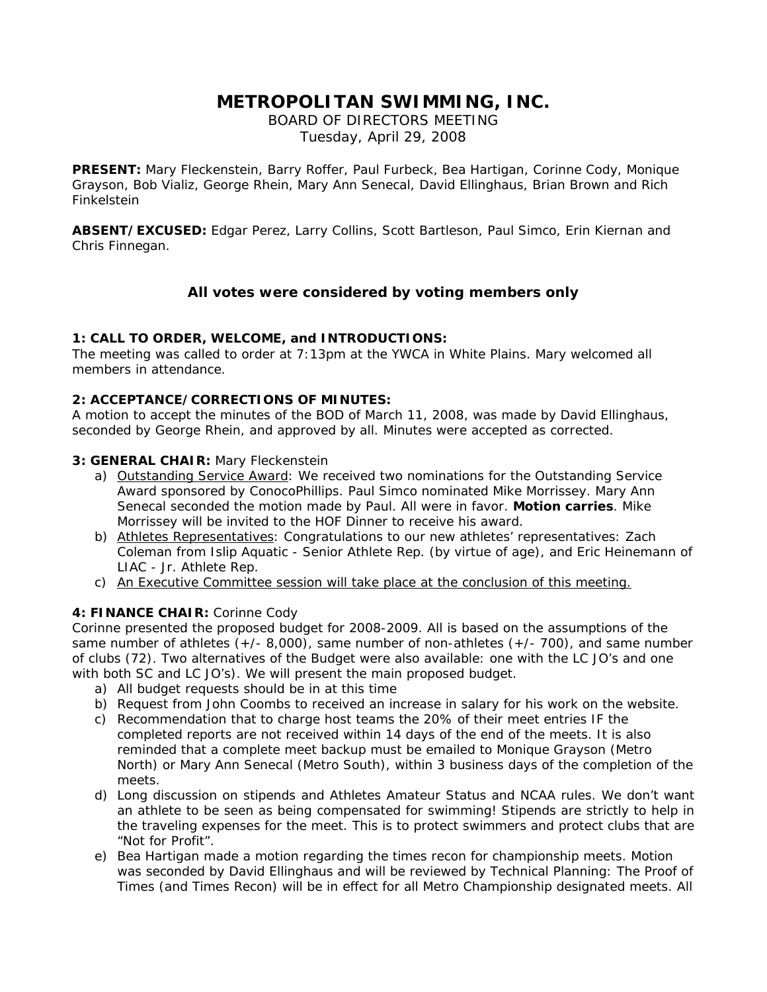# **METROPOLITAN SWIMMING, INC.**

BOARD OF DIRECTORS MEETING Tuesday, April 29, 2008

**PRESENT:** Mary Fleckenstein, Barry Roffer, Paul Furbeck, Bea Hartigan, Corinne Cody, Monique Grayson, Bob Vializ, George Rhein, Mary Ann Senecal, David Ellinghaus, Brian Brown and Rich Finkelstein

**ABSENT/EXCUSED:** Edgar Perez, Larry Collins, Scott Bartleson, Paul Simco, Erin Kiernan and Chris Finnegan.

## **All votes were considered by voting members only**

#### **1: CALL TO ORDER, WELCOME, and INTRODUCTIONS:**

The meeting was called to order at 7:13pm at the YWCA in White Plains. Mary welcomed all members in attendance.

#### **2: ACCEPTANCE/CORRECTIONS OF MINUTES:**

A motion to accept the minutes of the BOD of March 11, 2008, was made by David Ellinghaus, seconded by George Rhein, and approved by all. Minutes were accepted as corrected.

#### **3: GENERAL CHAIR:** Mary Fleckenstein

- a) Outstanding Service Award: We received two nominations for the Outstanding Service Award sponsored by ConocoPhillips. Paul Simco nominated Mike Morrissey. Mary Ann Senecal seconded the motion made by Paul. All were in favor. **Motion carries**. Mike Morrissey will be invited to the HOF Dinner to receive his award.
- b) Athletes Representatives: Congratulations to our new athletes' representatives: Zach Coleman from Islip Aquatic - Senior Athlete Rep. (by virtue of age), and Eric Heinemann of LIAC - Jr. Athlete Rep.
- c) An Executive Committee session will take place at the conclusion of this meeting.

### **4: FINANCE CHAIR:** Corinne Cody

Corinne presented the proposed budget for 2008-2009. All is based on the assumptions of the same number of athletes  $(+/- 8,000)$ , same number of non-athletes  $(+/- 700)$ , and same number of clubs (72). Two alternatives of the Budget were also available: one with the LC JO's and one with both SC and LC JO's). We will present the main proposed budget.

- a) All budget requests should be in at this time
- b) Request from John Coombs to received an increase in salary for his work on the website.
- c) Recommendation that to charge host teams the 20% of their meet entries IF the completed reports are not received within 14 days of the end of the meets. It is also reminded that a complete meet backup must be emailed to Monique Grayson (Metro North) or Mary Ann Senecal (Metro South), within 3 business days of the completion of the meets.
- d) Long discussion on stipends and Athletes Amateur Status and NCAA rules. We don't want an athlete to be seen as being compensated for swimming! Stipends are strictly to help in the traveling expenses for the meet. This is to protect swimmers and protect clubs that are "Not for Profit".
- e) Bea Hartigan made a motion regarding the times recon for championship meets. Motion was seconded by David Ellinghaus and will be reviewed by Technical Planning: The Proof of Times (and Times Recon) will be in effect for all Metro Championship designated meets. All